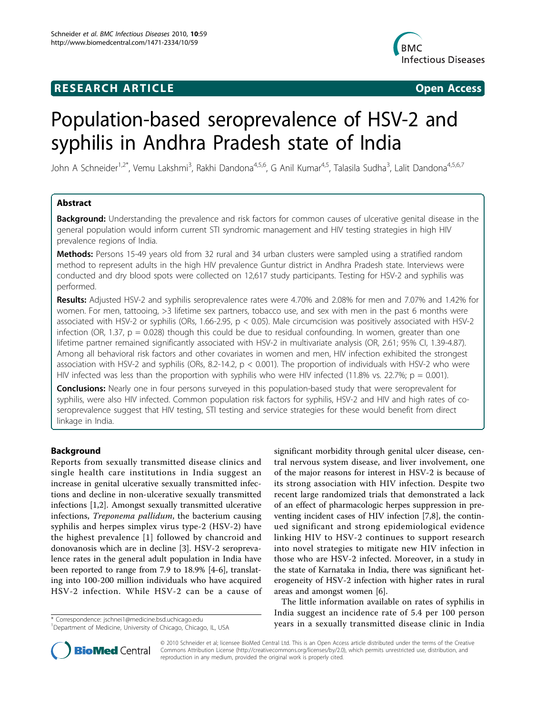## **RESEARCH ARTICLE Example 2018 Open Access**



# Population-based seroprevalence of HSV-2 and syphilis in Andhra Pradesh state of India

John A Schneider<sup>1,2\*</sup>, Vemu Lakshmi<sup>3</sup>, Rakhi Dandona<sup>4,5,6</sup>, G Anil Kumar<sup>4,5</sup>, Talasila Sudha<sup>3</sup>, Lalit Dandona<sup>4,5,6,7</sup>

## Abstract

Background: Understanding the prevalence and risk factors for common causes of ulcerative genital disease in the general population would inform current STI syndromic management and HIV testing strategies in high HIV prevalence regions of India.

Methods: Persons 15-49 years old from 32 rural and 34 urban clusters were sampled using a stratified random method to represent adults in the high HIV prevalence Guntur district in Andhra Pradesh state. Interviews were conducted and dry blood spots were collected on 12,617 study participants. Testing for HSV-2 and syphilis was performed.

Results: Adjusted HSV-2 and syphilis seroprevalence rates were 4.70% and 2.08% for men and 7.07% and 1.42% for women. For men, tattooing, >3 lifetime sex partners, tobacco use, and sex with men in the past 6 months were associated with HSV-2 or syphilis (ORs, 1.66-2.95, p < 0.05). Male circumcision was positively associated with HSV-2 infection (OR, 1.37,  $p = 0.028$ ) though this could be due to residual confounding. In women, greater than one lifetime partner remained significantly associated with HSV-2 in multivariate analysis (OR, 2.61; 95% CI, 1.39-4.87). Among all behavioral risk factors and other covariates in women and men, HIV infection exhibited the strongest association with HSV-2 and syphilis (ORs, 8.2-14.2,  $p < 0.001$ ). The proportion of individuals with HSV-2 who were HIV infected was less than the proportion with syphilis who were HIV infected (11.8% vs. 22.7%;  $p = 0.001$ ).

**Conclusions:** Nearly one in four persons surveyed in this population-based study that were seroprevalent for syphilis, were also HIV infected. Common population risk factors for syphilis, HSV-2 and HIV and high rates of coseroprevalence suggest that HIV testing, STI testing and service strategies for these would benefit from direct linkage in India.

## Background

Reports from sexually transmitted disease clinics and single health care institutions in India suggest an increase in genital ulcerative sexually transmitted infections and decline in non-ulcerative sexually transmitted infections [\[1,2](#page-10-0)]. Amongst sexually transmitted ulcerative infections, Treponema pallidum, the bacterium causing syphilis and herpes simplex virus type-2 (HSV-2) have the highest prevalence [[1](#page-10-0)] followed by chancroid and donovanosis which are in decline [\[3](#page-10-0)]. HSV-2 seroprevalence rates in the general adult population in India have been reported to range from 7.9 to 18.9% [[4](#page-10-0)-[6\]](#page-10-0), translating into 100-200 million individuals who have acquired HSV-2 infection. While HSV-2 can be a cause of

significant morbidity through genital ulcer disease, central nervous system disease, and liver involvement, one of the major reasons for interest in HSV-2 is because of its strong association with HIV infection. Despite two recent large randomized trials that demonstrated a lack of an effect of pharmacologic herpes suppression in preventing incident cases of HIV infection [\[7,8](#page-10-0)], the continued significant and strong epidemiological evidence linking HIV to HSV-2 continues to support research into novel strategies to mitigate new HIV infection in those who are HSV-2 infected. Moreover, in a study in the state of Karnataka in India, there was significant heterogeneity of HSV-2 infection with higher rates in rural areas and amongst women [[6\]](#page-10-0).

The little information available on rates of syphilis in India suggest an incidence rate of 5.4 per 100 person years in a sexually transmitted disease clinic in India \* Correspondence: [jschnei1@medicine.bsd.uchicago.edu](mailto:jschnei1@medicine.bsd.uchicago.edu)



© 2010 Schneider et al; licensee BioMed Central Ltd. This is an Open Access article distributed under the terms of the Creative Commons Attribution License [\(http://creativecommons.org/licenses/by/2.0](http://creativecommons.org/licenses/by/2.0)), which permits unrestricted use, distribution, and reproduction in any medium, provided the original work is properly cited.

<sup>&</sup>lt;sup>1</sup>Department of Medicine, University of Chicago, Chicago, IL, USA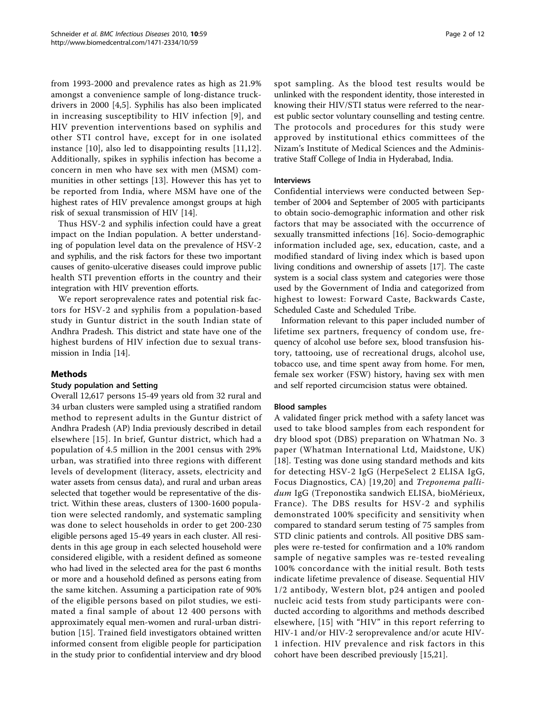from 1993-2000 and prevalence rates as high as 21.9% amongst a convenience sample of long-distance truckdrivers in 2000 [[4,5](#page-10-0)]. Syphilis has also been implicated in increasing susceptibility to HIV infection [[9](#page-10-0)], and HIV prevention interventions based on syphilis and other STI control have, except for in one isolated instance [[10\]](#page-10-0), also led to disappointing results [\[11,12](#page-10-0)]. Additionally, spikes in syphilis infection has become a concern in men who have sex with men (MSM) communities in other settings [[13\]](#page-11-0). However this has yet to be reported from India, where MSM have one of the highest rates of HIV prevalence amongst groups at high risk of sexual transmission of HIV [\[14](#page-11-0)].

Thus HSV-2 and syphilis infection could have a great impact on the Indian population. A better understanding of population level data on the prevalence of HSV-2 and syphilis, and the risk factors for these two important causes of genito-ulcerative diseases could improve public health STI prevention efforts in the country and their integration with HIV prevention efforts.

We report seroprevalence rates and potential risk factors for HSV-2 and syphilis from a population-based study in Guntur district in the south Indian state of Andhra Pradesh. This district and state have one of the highest burdens of HIV infection due to sexual transmission in India [\[14](#page-11-0)].

## Methods

## Study population and Setting

Overall 12,617 persons 15-49 years old from 32 rural and 34 urban clusters were sampled using a stratified random method to represent adults in the Guntur district of Andhra Pradesh (AP) India previously described in detail elsewhere [\[15](#page-11-0)]. In brief, Guntur district, which had a population of 4.5 million in the 2001 census with 29% urban, was stratified into three regions with different levels of development (literacy, assets, electricity and water assets from census data), and rural and urban areas selected that together would be representative of the district. Within these areas, clusters of 1300-1600 population were selected randomly, and systematic sampling was done to select households in order to get 200-230 eligible persons aged 15-49 years in each cluster. All residents in this age group in each selected household were considered eligible, with a resident defined as someone who had lived in the selected area for the past 6 months or more and a household defined as persons eating from the same kitchen. Assuming a participation rate of 90% of the eligible persons based on pilot studies, we estimated a final sample of about 12 400 persons with approximately equal men-women and rural-urban distribution [\[15](#page-11-0)]. Trained field investigators obtained written informed consent from eligible people for participation in the study prior to confidential interview and dry blood spot sampling. As the blood test results would be unlinked with the respondent identity, those interested in knowing their HIV/STI status were referred to the nearest public sector voluntary counselling and testing centre. The protocols and procedures for this study were approved by institutional ethics committees of the Nizam's Institute of Medical Sciences and the Administrative Staff College of India in Hyderabad, India.

### Interviews

Confidential interviews were conducted between September of 2004 and September of 2005 with participants to obtain socio-demographic information and other risk factors that may be associated with the occurrence of sexually transmitted infections [[16\]](#page-11-0). Socio-demographic information included age, sex, education, caste, and a modified standard of living index which is based upon living conditions and ownership of assets [[17](#page-11-0)]. The caste system is a social class system and categories were those used by the Government of India and categorized from highest to lowest: Forward Caste, Backwards Caste, Scheduled Caste and Scheduled Tribe.

Information relevant to this paper included number of lifetime sex partners, frequency of condom use, frequency of alcohol use before sex, blood transfusion history, tattooing, use of recreational drugs, alcohol use, tobacco use, and time spent away from home. For men, female sex worker (FSW) history, having sex with men and self reported circumcision status were obtained.

## Blood samples

A validated finger prick method with a safety lancet was used to take blood samples from each respondent for dry blood spot (DBS) preparation on Whatman No. 3 paper (Whatman International Ltd, Maidstone, UK) [[18\]](#page-11-0). Testing was done using standard methods and kits for detecting HSV-2 IgG (HerpeSelect 2 ELISA IgG, Focus Diagnostics, CA) [[19](#page-11-0),[20\]](#page-11-0) and Treponema pallidum IgG (Treponostika sandwich ELISA, bioMérieux, France). The DBS results for HSV-2 and syphilis demonstrated 100% specificity and sensitivity when compared to standard serum testing of 75 samples from STD clinic patients and controls. All positive DBS samples were re-tested for confirmation and a 10% random sample of negative samples was re-tested revealing 100% concordance with the initial result. Both tests indicate lifetime prevalence of disease. Sequential HIV 1/2 antibody, Western blot, p24 antigen and pooled nucleic acid tests from study participants were conducted according to algorithms and methods described elsewhere, [[15](#page-11-0)] with "HIV" in this report referring to HIV-1 and/or HIV-2 seroprevalence and/or acute HIV-1 infection. HIV prevalence and risk factors in this cohort have been described previously [[15,21](#page-11-0)].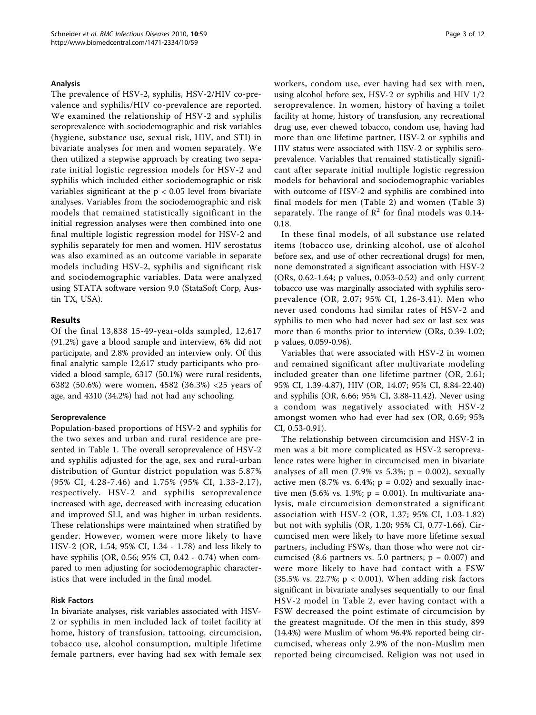#### Analysis

The prevalence of HSV-2, syphilis, HSV-2/HIV co-prevalence and syphilis/HIV co-prevalence are reported. We examined the relationship of HSV-2 and syphilis seroprevalence with sociodemographic and risk variables (hygiene, substance use, sexual risk, HIV, and STI) in bivariate analyses for men and women separately. We then utilized a stepwise approach by creating two separate initial logistic regression models for HSV-2 and syphilis which included either sociodemographic or risk variables significant at the  $p < 0.05$  level from bivariate analyses. Variables from the sociodemographic and risk models that remained statistically significant in the initial regression analyses were then combined into one final multiple logistic regression model for HSV-2 and syphilis separately for men and women. HIV serostatus was also examined as an outcome variable in separate models including HSV-2, syphilis and significant risk and sociodemographic variables. Data were analyzed using STATA software version 9.0 (StataSoft Corp, Austin TX, USA).

## Results

Of the final 13,838 15-49-year-olds sampled, 12,617 (91.2%) gave a blood sample and interview, 6% did not participate, and 2.8% provided an interview only. Of this final analytic sample 12,617 study participants who provided a blood sample, 6317 (50.1%) were rural residents, 6382 (50.6%) were women, 4582 (36.3%) <25 years of age, and 4310 (34.2%) had not had any schooling.

#### Seroprevalence

Population-based proportions of HSV-2 and syphilis for the two sexes and urban and rural residence are presented in Table [1.](#page-3-0) The overall seroprevalence of HSV-2 and syphilis adjusted for the age, sex and rural-urban distribution of Guntur district population was 5.87% (95% CI, 4.28-7.46) and 1.75% (95% CI, 1.33-2.17), respectively. HSV-2 and syphilis seroprevalence increased with age, decreased with increasing education and improved SLI, and was higher in urban residents. These relationships were maintained when stratified by gender. However, women were more likely to have HSV-2 (OR, 1.54; 95% CI, 1.34 - 1.78) and less likely to have syphilis (OR, 0.56; 95% CI, 0.42 - 0.74) when compared to men adjusting for sociodemographic characteristics that were included in the final model.

#### Risk Factors

In bivariate analyses, risk variables associated with HSV-2 or syphilis in men included lack of toilet facility at home, history of transfusion, tattooing, circumcision, tobacco use, alcohol consumption, multiple lifetime female partners, ever having had sex with female sex workers, condom use, ever having had sex with men, using alcohol before sex, HSV-2 or syphilis and HIV 1/2 seroprevalence. In women, history of having a toilet facility at home, history of transfusion, any recreational drug use, ever chewed tobacco, condom use, having had more than one lifetime partner, HSV-2 or syphilis and HIV status were associated with HSV-2 or syphilis seroprevalence. Variables that remained statistically significant after separate initial multiple logistic regression models for behavioral and sociodemographic variables with outcome of HSV-2 and syphilis are combined into final models for men (Table [2](#page-4-0)) and women (Table [3](#page-7-0)) separately. The range of  $\mathbb{R}^2$  for final models was 0.14-0.18.

In these final models, of all substance use related items (tobacco use, drinking alcohol, use of alcohol before sex, and use of other recreational drugs) for men, none demonstrated a significant association with HSV-2 (ORs, 0.62-1.64; p values, 0.053-0.52) and only current tobacco use was marginally associated with syphilis seroprevalence (OR, 2.07; 95% CI, 1.26-3.41). Men who never used condoms had similar rates of HSV-2 and syphilis to men who had never had sex or last sex was more than 6 months prior to interview (ORs, 0.39-1.02; p values, 0.059-0.96).

Variables that were associated with HSV-2 in women and remained significant after multivariate modeling included greater than one lifetime partner (OR, 2.61; 95% CI, 1.39-4.87), HIV (OR, 14.07; 95% CI, 8.84-22.40) and syphilis (OR, 6.66; 95% CI, 3.88-11.42). Never using a condom was negatively associated with HSV-2 amongst women who had ever had sex (OR, 0.69; 95% CI, 0.53-0.91).

The relationship between circumcision and HSV-2 in men was a bit more complicated as HSV-2 seroprevalence rates were higher in circumcised men in bivariate analyses of all men  $(7.9\% \text{ vs } 5.3\%; \text{ p } = 0.002)$ , sexually active men (8.7% vs. 6.4%;  $p = 0.02$ ) and sexually inactive men  $(5.6\% \text{ vs. } 1.9\%; \text{ p} = 0.001)$ . In multivariate analysis, male circumcision demonstrated a significant association with HSV-2 (OR, 1.37; 95% CI, 1.03-1.82) but not with syphilis (OR, 1.20; 95% CI, 0.77-1.66). Circumcised men were likely to have more lifetime sexual partners, including FSWs, than those who were not circumcised (8.6 partners vs. 5.0 partners;  $p = 0.007$ ) and were more likely to have had contact with a FSW (35.5% vs. 22.7%; p < 0.001). When adding risk factors significant in bivariate analyses sequentially to our final HSV-2 model in Table [2,](#page-4-0) ever having contact with a FSW decreased the point estimate of circumcision by the greatest magnitude. Of the men in this study, 899 (14.4%) were Muslim of whom 96.4% reported being circumcised, whereas only 2.9% of the non-Muslim men reported being circumcised. Religion was not used in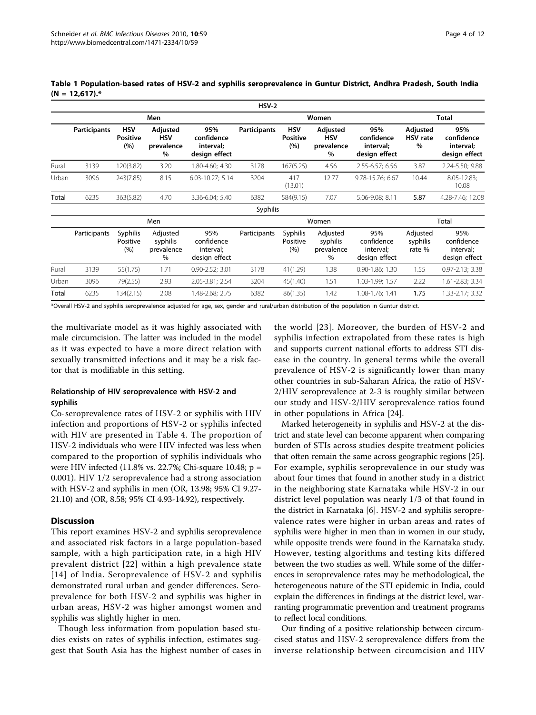|       |                     |                                      |                                            |                                                 | $HSV-2$             |                                      |                                              |                                                 |                                     |                                                 |
|-------|---------------------|--------------------------------------|--------------------------------------------|-------------------------------------------------|---------------------|--------------------------------------|----------------------------------------------|-------------------------------------------------|-------------------------------------|-------------------------------------------------|
|       |                     |                                      | Men                                        |                                                 |                     | Women                                | <b>Total</b>                                 |                                                 |                                     |                                                 |
|       | <b>Participants</b> | <b>HSV</b><br><b>Positive</b><br>(%) | Adjusted<br><b>HSV</b><br>prevalence<br>%  | 95%<br>confidence<br>interval;<br>design effect | <b>Participants</b> | <b>HSV</b><br><b>Positive</b><br>(%) | Adjusted<br><b>HSV</b><br>prevalence<br>$\%$ | 95%<br>confidence<br>interval;<br>design effect | Adjusted<br><b>HSV</b> rate<br>$\%$ | 95%<br>confidence<br>interval;<br>design effect |
| Rural | 3139                | 120(3.82)                            | 3.20                                       | 1.80-4.60; 4.30                                 | 3178                | 167(5.25)                            | 4.56                                         | 2.55-6.57; 6.56                                 | 3.87                                | 2.24-5.50; 9.88                                 |
| Urban | 3096                | 243(7.85)                            | 8.15                                       | 6.03-10.27; 5.14                                | 3204                | 417<br>(13.01)                       | 12.77                                        | 9.78-15.76; 6.67                                | 10.44                               | $8.05 - 12.83$ ;<br>10.08                       |
| Total | 6235                | 363(5.82)                            | 4.70                                       | 3.36-6.04; 5.40                                 | 6382                | 584(9.15)                            | 7.07                                         | 5.06-9.08; 8.11                                 | 5.87                                | 4.28-7.46; 12.08                                |
|       |                     |                                      |                                            |                                                 | Syphilis            |                                      |                                              |                                                 |                                     |                                                 |
|       |                     |                                      | Men                                        |                                                 |                     |                                      | Women                                        |                                                 |                                     | Total                                           |
|       | Participants        | <b>Syphilis</b><br>Positive<br>(%)   | Adjusted<br>syphilis<br>prevalence<br>$\%$ | 95%<br>confidence<br>interval;<br>design effect | Participants        | <b>Syphilis</b><br>Positive<br>(%)   | Adjusted<br>syphilis<br>prevalence<br>$\%$   | 95%<br>confidence<br>interval;<br>design effect | Adjusted<br>syphilis<br>rate %      | 95%<br>confidence<br>interval;<br>design effect |
| Rural | 3139                | 55(1.75)                             | 1.71                                       | $0.90 - 2.52; 3.01$                             | 3178                | 41(1.29)                             | 1.38                                         | 0.90-1.86; 1.30                                 | 1.55                                | $0.97 - 2.13$ ; 3.38                            |
| Urban | 3096                | 79(2.55)                             | 2.93                                       | 2.05-3.81; 2.54                                 | 3204                | 45(1.40)                             | 1.51                                         | 1.03-1.99; 1.57                                 | 2.22                                | 1.61-2.83; 3.34                                 |
| Total | 6235                | 134(2.15)                            | 2.08                                       | 1.48-2.68; 2.75                                 | 6382                | 86(1.35)                             | 1.42                                         | 1.08-1.76; 1.41                                 | 1.75                                | 1.33-2.17; 3.32                                 |

<span id="page-3-0"></span>Table 1 Population-based rates of HSV-2 and syphilis seroprevalence in Guntur District, Andhra Pradesh, South India  $(N = 12,617).$ \*

\*Overall HSV-2 and syphilis seroprevalence adjusted for age, sex, gender and rural/urban distribution of the population in Guntur district.

the multivariate model as it was highly associated with male circumcision. The latter was included in the model as it was expected to have a more direct relation with sexually transmitted infections and it may be a risk factor that is modifiable in this setting.

#### Relationship of HIV seroprevalence with HSV-2 and syphilis

Co-seroprevalence rates of HSV-2 or syphilis with HIV infection and proportions of HSV-2 or syphilis infected with HIV are presented in Table [4](#page-9-0). The proportion of HSV-2 individuals who were HIV infected was less when compared to the proportion of syphilis individuals who were HIV infected (11.8% vs. 22.7%; Chi-square 10.48; p = 0.001). HIV 1/2 seroprevalence had a strong association with HSV-2 and syphilis in men (OR, 13.98; 95% CI 9.27- 21.10) and (OR, 8.58; 95% CI 4.93-14.92), respectively.

## **Discussion**

This report examines HSV-2 and syphilis seroprevalence and associated risk factors in a large population-based sample, with a high participation rate, in a high HIV prevalent district [[22\]](#page-11-0) within a high prevalence state [[14\]](#page-11-0) of India. Seroprevalence of HSV-2 and syphilis demonstrated rural urban and gender differences. Seroprevalence for both HSV-2 and syphilis was higher in urban areas, HSV-2 was higher amongst women and syphilis was slightly higher in men.

Though less information from population based studies exists on rates of syphilis infection, estimates suggest that South Asia has the highest number of cases in

the world [[23](#page-11-0)]. Moreover, the burden of HSV-2 and syphilis infection extrapolated from these rates is high and supports current national efforts to address STI disease in the country. In general terms while the overall prevalence of HSV-2 is significantly lower than many other countries in sub-Saharan Africa, the ratio of HSV-2/HIV seroprevalence at 2-3 is roughly similar between our study and HSV-2/HIV seroprevalence ratios found in other populations in Africa [[24\]](#page-11-0).

Marked heterogeneity in syphilis and HSV-2 at the district and state level can become apparent when comparing burden of STIs across studies despite treatment policies that often remain the same across geographic regions [[25](#page-11-0)]. For example, syphilis seroprevalence in our study was about four times that found in another study in a district in the neighboring state Karnataka while HSV-2 in our district level population was nearly 1/3 of that found in the district in Karnataka [\[6\]](#page-10-0). HSV-2 and syphilis seroprevalence rates were higher in urban areas and rates of syphilis were higher in men than in women in our study, while opposite trends were found in the Karnataka study. However, testing algorithms and testing kits differed between the two studies as well. While some of the differences in seroprevalence rates may be methodological, the heterogeneous nature of the STI epidemic in India, could explain the differences in findings at the district level, warranting programmatic prevention and treatment programs to reflect local conditions.

Our finding of a positive relationship between circumcised status and HSV-2 seroprevalence differs from the inverse relationship between circumcision and HIV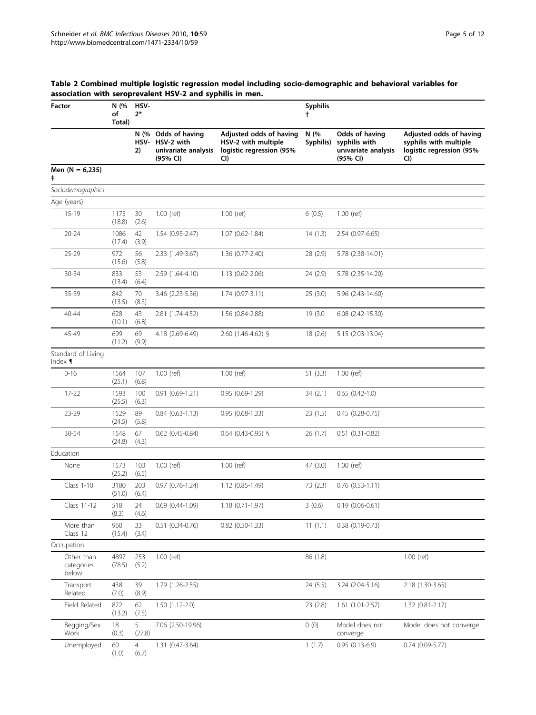## <span id="page-4-0"></span>Table 2 Combined multiple logistic regression model including socio-demographic and behavioral variables for association with seroprevalent HSV-2 and syphilis in men.

| Factor                            | N (%<br>of<br>Total) | HSV-<br>$2*$            |                                                                           |                                                                                   |                   | <b>Syphilis</b><br>Ť.                                              |                                                                                      |  |  |  |
|-----------------------------------|----------------------|-------------------------|---------------------------------------------------------------------------|-----------------------------------------------------------------------------------|-------------------|--------------------------------------------------------------------|--------------------------------------------------------------------------------------|--|--|--|
|                                   |                      | 2)                      | N (% Odds of having<br>HSV- HSV-2 with<br>univariate analysis<br>(95% CI) | Adjusted odds of having<br>HSV-2 with multiple<br>logistic regression (95%<br>CI) | N (%<br>Syphilis) | Odds of having<br>syphilis with<br>univariate analysis<br>(95% CI) | Adjusted odds of having<br>syphilis with multiple<br>logistic regression (95%<br>CI) |  |  |  |
| Men $(N = 6,235)$<br>ŧ            |                      |                         |                                                                           |                                                                                   |                   |                                                                    |                                                                                      |  |  |  |
| Sociodemographics                 |                      |                         |                                                                           |                                                                                   |                   |                                                                    |                                                                                      |  |  |  |
| Age (years)                       |                      |                         |                                                                           |                                                                                   |                   |                                                                    |                                                                                      |  |  |  |
| $15-19$                           | 1175<br>(18.8)       | 30<br>(2.6)             | 1.00 (ref)                                                                | 1.00 (ref)                                                                        | 6(0.5)            | 1.00 (ref)                                                         |                                                                                      |  |  |  |
| $20 - 24$                         | 1086<br>(17.4)       | 42<br>(3.9)             | 1.54 (0.95-2.47)                                                          | 1.07 (0.62-1.84)                                                                  | 14(1.3)           | 2.54 (0.97-6.65)                                                   |                                                                                      |  |  |  |
| $25 - 29$                         | 972<br>(15.6)        | 56<br>(5.8)             | 2.33 (1.49-3.67)                                                          | 1.36 (0.77-2.40)                                                                  | 28 (2.9)          | 5.78 (2.38-14.01)                                                  |                                                                                      |  |  |  |
| 30-34                             | 833<br>(13.4)        | 53<br>(6.4)             | 2.59 (1.64-4.10)                                                          | 1.13 (0.62-2.06)                                                                  | 24 (2.9)          | 5.78 (2.35-14.20)                                                  |                                                                                      |  |  |  |
| 35-39                             | 842<br>(13.5)        | 70<br>(8.3)             | 3.46 (2.23-5.36)                                                          | $1.74(0.97-3.11)$                                                                 | 25(3.0)           | 5.96 (2.43-14.60)                                                  |                                                                                      |  |  |  |
| 40-44                             | 628<br>(10.1)        | 43<br>(6.8)             | 2.81 (1.74-4.52)                                                          | 1.56 (0.84-2.88)                                                                  | 19 (3.0)          | $6.08$ $(2.42 - 15.30)$                                            |                                                                                      |  |  |  |
| 45-49                             | 699<br>(11.2)        | 69<br>(9.9)             | 4.18 (2.69-6.49)                                                          | 2.60 (1.46-4.62) §                                                                | 18 (2.6)          | 5.15 (2.03-13.04)                                                  |                                                                                      |  |  |  |
| Standard of Living<br>Index $\P$  |                      |                         |                                                                           |                                                                                   |                   |                                                                    |                                                                                      |  |  |  |
| $0 - 16$                          | 1564<br>(25.1)       | 107<br>(6.8)            | 1.00 (ref)                                                                | 1.00 (ref)                                                                        | 51(3.3)           | 1.00 (ref)                                                         |                                                                                      |  |  |  |
| $17 - 22$                         | 1593<br>(25.5)       | 100<br>(6.3)            | $0.91$ $(0.69-1.21)$                                                      | $0.95(0.69-1.29)$                                                                 | 34(2.1)           | $0.65$ $(0.42-1.0)$                                                |                                                                                      |  |  |  |
| $23 - 29$                         | 1529<br>(24.5)       | 89<br>(5.8)             | $0.84$ $(0.63 - 1.13)$                                                    | $0.95(0.68-1.33)$                                                                 | 23 (1.5)          | $0.45(0.28-0.75)$                                                  |                                                                                      |  |  |  |
| 30-54                             | 1548<br>(24.8)       | 67<br>(4.3)             | $0.62$ (0.45-0.84)                                                        | $0.64$ (0.43-0.95) §                                                              | 26 (1.7)          | $0.51(0.31 - 0.82)$                                                |                                                                                      |  |  |  |
| Education                         |                      |                         |                                                                           |                                                                                   |                   |                                                                    |                                                                                      |  |  |  |
| None                              | 1573<br>(25.2)       | 103<br>(6.5)            | 1.00 (ref)                                                                | $1.00$ (ref)                                                                      | 47 (3.0)          | $1.00$ (ref)                                                       |                                                                                      |  |  |  |
| Class 1-10                        | 3180<br>(51.0)       | 203<br>(6.4)            | $0.97(0.76-1.24)$                                                         | 1.12 (0.85-1.49)                                                                  | 73 (2.3)          | $0.76$ $(0.53-1.11)$                                               |                                                                                      |  |  |  |
| Class 11-12                       | 518<br>(8.3)         | 24<br>(4.6)             | $0.69$ $(0.44 - 1.09)$                                                    | 1.18 (0.71-1.97)                                                                  | 3(0.6)            | $0.19(0.06 - 0.61)$                                                |                                                                                      |  |  |  |
| More than<br>Class 12             | 960<br>(15.4)        | 33<br>(3.4)             | $0.51$ $(0.34 - 0.76)$                                                    | $0.82$ (0.50-1.33)                                                                | 11(1.1)           | $0.38$ $(0.19 - 0.73)$                                             |                                                                                      |  |  |  |
| Occupation                        |                      |                         |                                                                           |                                                                                   |                   |                                                                    |                                                                                      |  |  |  |
| Other than<br>categories<br>below | 4897<br>(78.5)       | 253<br>(5.2)            | 1.00 (ref)                                                                |                                                                                   | 86 (1.8)          |                                                                    | 1.00 (ref)                                                                           |  |  |  |
| Transport<br>Related              | 438<br>(7.0)         | 39<br>(8.9)             | 1.79 (1.26-2.55)                                                          |                                                                                   | 24 (5.5)          | 3.24 (2.04-5.16)                                                   | 2.18 (1.30-3.65)                                                                     |  |  |  |
| Field Related                     | 822<br>(13.2)        | 62<br>(7.5)             | 1.50 (1.12-2.0)                                                           |                                                                                   | 23 (2.8)          | $1.61(1.01-2.57)$                                                  | $1.32(0.81 - 2.17)$                                                                  |  |  |  |
| Begging/Sex<br>Work               | 18<br>(0.3)          | 5<br>(27.8)             | 7.06 (2.50-19.96)                                                         |                                                                                   | 0(0)              | Model does not<br>converge                                         | Model does not converge                                                              |  |  |  |
| Unemployed                        | 60<br>(1.0)          | $\overline{4}$<br>(6.7) | 1.31 (0.47-3.64)                                                          |                                                                                   | 1(1.7)            | $0.95(0.13-6.9)$                                                   | $0.74(0.09-5.77)$                                                                    |  |  |  |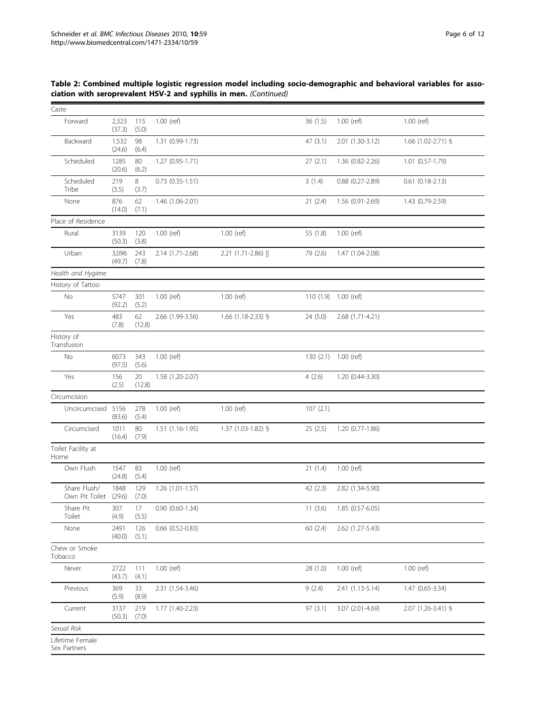| Caste                           |                 |              |                        |                    |                      |                        |                      |
|---------------------------------|-----------------|--------------|------------------------|--------------------|----------------------|------------------------|----------------------|
| Forward                         | 2,323<br>(37.3) | 115<br>(5.0) | 1.00 (ref)             |                    | 36(1.5)              | 1.00 (ref)             | 1.00 (ref)           |
| Backward                        | 1,532<br>(24.6) | 98<br>(6.4)  | 1.31 (0.99-1.73)       |                    | 47(3.1)              | 2.01 (1.30-3.12)       | $1.66$ (1.02-2.71) § |
| Scheduled                       | 1285<br>(20.6)  | 80<br>(6.2)  | $1.27(0.95 - 1.71)$    |                    | 27(2.1)              | 1.36 (0.82-2.26)       | $1.01(0.57-1.79)$    |
| Scheduled<br>Tribe              | 219<br>(3.5)    | 8<br>(3.7)   | $0.73$ $(0.35-1.51)$   |                    | 3(1.4)               | $0.88$ $(0.27 - 2.89)$ | $0.61(0.18-2.13)$    |
| None                            | 876<br>(14.0)   | 62<br>(7.1)  | 1.46 (1.06-2.01)       |                    | 21(2.4)              | 1.56 (0.91-2.69)       | 1.43 (0.79-2.59)     |
| Place of Residence              |                 |              |                        |                    |                      |                        |                      |
| Rural                           | 3139<br>(50.3)  | 120<br>(3.8) | 1.00 (ref)             | 1.00 (ref)         | 55 (1.8)             | 1.00 (ref)             |                      |
| Urban                           | 3,096<br>(49.7) | 243<br>(7.8) | 2.14 (1.71-2.68)       | 2.21 (1.71-2.86)   | 79 (2.6)             | 1.47 (1.04-2.08)       |                      |
| Health and Hygiene              |                 |              |                        |                    |                      |                        |                      |
| History of Tattoo               |                 |              |                        |                    |                      |                        |                      |
| No                              | 5747<br>(92.2)  | 301<br>(5.2) | 1.00 (ref)             | 1.00 (ref)         | 110 (1.9) 1.00 (ref) |                        |                      |
| Yes                             | 483<br>(7.8)    | 62<br>(12.8) | 2.66 (1.99-3.56)       | 1.66 (1.18-2.33) § | 24(5.0)              | 2.68 (1.71-4.21)       |                      |
| History of<br>Transfusion       |                 |              |                        |                    |                      |                        |                      |
| No                              | 6073<br>(97.5)  | 343<br>(5.6) | 1.00 (ref)             |                    | 130 (2.1) 1.00 (ref) |                        |                      |
| Yes                             | 156<br>(2.5)    | 20<br>(12.8) | 1.58 (1.20-2.07)       |                    | 4(2.6)               | 1.20 (0.44-3.30)       |                      |
| Circumcision                    |                 |              |                        |                    |                      |                        |                      |
| Uncircumcised                   | 5156<br>(83.6)  | 278<br>(5.4) | 1.00 (ref)             | 1.00 (ref)         | 107(2.1)             |                        |                      |
| Circumcised                     | 1011<br>(16.4)  | 80<br>(7.9)  | $1.51(1.16-1.95)$      | 1.37 (1.03-1.82) § | 25(2.5)              | $1.20(0.77-1.86)$      |                      |
| Toilet Facility at<br>Home      |                 |              |                        |                    |                      |                        |                      |
| Own Flush                       | 1547<br>(24.8)  | 83<br>(5.4)  | 1.00 (ref)             |                    | 21(1.4)              | 1.00 (ref)             |                      |
| Share Flush/<br>Own Pit Toilet  | 1848<br>(29.6)  | 129<br>(7.0) | 1.26 (1.01-1.57)       |                    | 42(2.3)              | 2.82 (1.34-5.90)       |                      |
| Share Pit<br>Toilet             | 307<br>(4.9)    | 17<br>(5.5)  | $0.90(0.60-1.34)$      |                    | 11(3.6)              | 1.85 (0.57-6.05)       |                      |
| None                            | 2491<br>(40.0)  | 126<br>(5.1) | $0.66$ $(0.52 - 0.83)$ |                    | 60(2.4)              | 2.62 (1.27-5.43)       |                      |
| Chew or Smoke<br>Tobacco        |                 |              |                        |                    |                      |                        |                      |
| Never                           | 2722<br>(43.7)  | 111<br>(4.1) | 1.00 (ref)             |                    | 28 (1.0)             | 1.00 (ref)             | 1.00 (ref)           |
| Previous                        | 369<br>(5.9)    | 33<br>(8.9)  | 2.31 (1.54-3.46)       |                    | 9(2.4)               | 2.41 (1.13-5.14)       | 1.47 (0.65-3.34)     |
| Current                         | 3137<br>(50.3)  | 219<br>(7.0) | 1.77 (1.40-2.23)       |                    | 97(3.1)              | 3.07 (2.01-4.69)       | 2.07 (1.26-3.41) §   |
| Sexual Risk                     |                 |              |                        |                    |                      |                        |                      |
| Lifetime Female<br>Sex Partners |                 |              |                        |                    |                      |                        |                      |

## Table 2: Combined multiple logistic regression model including socio-demographic and behavioral variables for association with seroprevalent HSV-2 and syphilis in men. (Continued)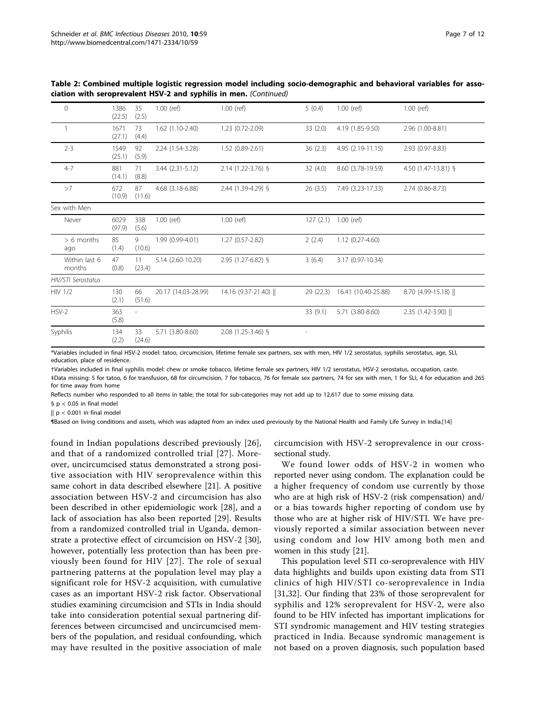| 1386<br>(22.5) | 35<br>(2.5)              | $1.00$ (ref)        | $1.00$ (ref)       | 5(0.4)   | 1.00 (ref)          | 1.00 (ref)           |
|----------------|--------------------------|---------------------|--------------------|----------|---------------------|----------------------|
| 1671<br>(27.1) | 73<br>(4.4)              | 1.62 (1.10-2.40)    | 1.23 (0.72-2.09)   | 33(2.0)  | 4.19 (1.85-9.50)    | 2.96 (1.00-8.81)     |
| 1549<br>(25.1) | 92<br>(5.9)              | 2.24 (1.54-3.28)    | 1.52 (0.89-2.61)   | 36(2.3)  | 4.95 (2.19-11.15)   | 2.93 (0.97-8.83)     |
| 881<br>(14.1)  | 71<br>(8.8)              | 3.44 (2.31-5.12)    | 2.14 (1.22-3.76) § | 32(4.0)  | 8.60 (3.78-19.59)   | 4.50 (1.47-13.81) §  |
| 672<br>(10.9)  | 87<br>(11.6)             | 4.68 (3.18-6.88)    | 2.44 (1.39-4.29) § | 26(3.5)  | 7.49 (3.23-17.33)   | 2.74 (0.86-8.73)     |
|                |                          |                     |                    |          |                     |                      |
| 6029<br>(97.9) | 338<br>(5.6)             | $1.00$ (ref)        | $1.00$ (ref)       |          |                     |                      |
| 85<br>(1.4)    | 9<br>(10.6)              | 1.99 (0.99-4.01)    | 1.27 (0.57-2.82)   | 2(2.4)   | 1.12 (0.27-4.60)    |                      |
| 47<br>(0.8)    | 11<br>(23.4)             | 5.14 (2.60-10.20)   | 2.95 (1.27-6.82) § | 3(6.4)   | 3.17 (0.97-10.34)   |                      |
|                |                          |                     |                    |          |                     |                      |
| 130<br>(2.1)   | 66<br>(51.6)             | 20.17 (14.03-28.99) | 14.16 (9.37-21.40) | 29(22.3) | 16.41 (10.40-25.88) | 8.70 (4.99-15.18)    |
| 363<br>(5.8)   | $\overline{\phantom{a}}$ |                     |                    | 33(9.1)  | 5.71 (3.80-8.60)    | 2.35 (1.42-3.90)     |
| 134<br>(2.2)   | 33<br>(24.6)             | 5.71 (3.80-8.60)    | 2.08 (1.25-3.46) § |          |                     |                      |
|                |                          |                     |                    |          |                     | 127 (2.1) 1.00 (ref) |

Table 2: Combined multiple logistic regression model including socio-demographic and behavioral variables for association with seroprevalent HSV-2 and syphilis in men. (Continued)

\*Variables included in final HSV-2 model: tatoo, circumcision, lifetime female sex partners, sex with men, HIV 1/2 serostatus, syphilis serostatus, age, SLI, education, place of residence.

†Variables included in final syphilis model: chew or smoke tobacco, lifetime female sex partners, HIV 1/2 serostatus, HSV-2 serostatus, occupation, caste.

‡Data missing: 5 for tatoo, 6 for transfusion, 68 for circumcision, 7 for tobacco, 76 for female sex partners, 74 for sex with men, 1 for SLI, 4 for education and 265 for time away from home

Reflects number who responded to all items in table; the total for sub-categories may not add up to 12,617 due to some missing data.

§ p < 0.05 in final model

 $|| p < 0.001$  in final model

¶Based on living conditions and assets, which was adapted from an index used previously by the National Health and Family Life Survey in India.[\[14](#page-11-0)]

found in Indian populations described previously [[26](#page-11-0)], and that of a randomized controlled trial [[27](#page-11-0)]. Moreover, uncircumcised status demonstrated a strong positive association with HIV seroprevalence within this same cohort in data described elsewhere [[21](#page-11-0)]. A positive association between HSV-2 and circumcision has also been described in other epidemiologic work [[28\]](#page-11-0), and a lack of association has also been reported [[29\]](#page-11-0). Results from a randomized controlled trial in Uganda, demonstrate a protective effect of circumcision on HSV-2 [\[30](#page-11-0)], however, potentially less protection than has been previously been found for HIV [[27\]](#page-11-0). The role of sexual partnering patterns at the population level may play a significant role for HSV-2 acquisition, with cumulative cases as an important HSV-2 risk factor. Observational studies examining circumcision and STIs in India should take into consideration potential sexual partnering differences between circumcised and uncircumcised members of the population, and residual confounding, which may have resulted in the positive association of male

circumcision with HSV-2 seroprevalence in our crosssectional study.

We found lower odds of HSV-2 in women who reported never using condom. The explanation could be a higher frequency of condom use currently by those who are at high risk of HSV-2 (risk compensation) and/ or a bias towards higher reporting of condom use by those who are at higher risk of HIV/STI. We have previously reported a similar association between never using condom and low HIV among both men and women in this study [\[21\]](#page-11-0).

This population level STI co-seroprevalence with HIV data highlights and builds upon existing data from STI clinics of high HIV/STI co-seroprevalence in India [[31,32](#page-11-0)]. Our finding that 23% of those seroprevalent for syphilis and 12% seroprevalent for HSV-2, were also found to be HIV infected has important implications for STI syndromic management and HIV testing strategies practiced in India. Because syndromic management is not based on a proven diagnosis, such population based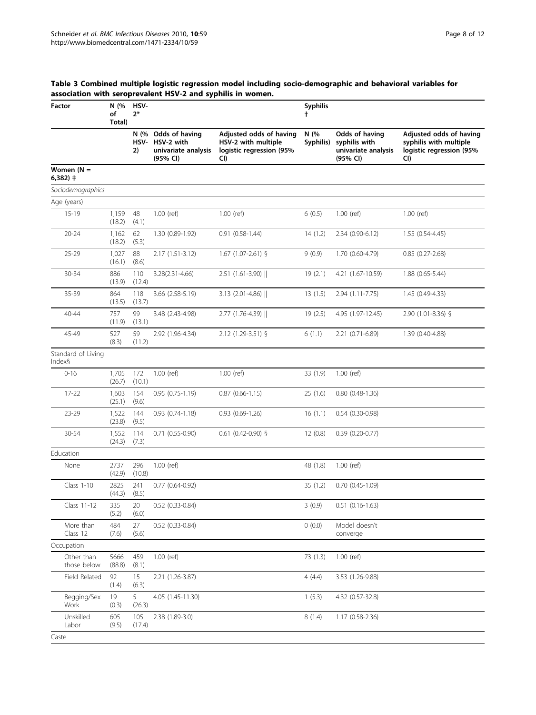Page 8 of 12

## <span id="page-7-0"></span>Table 3 Combined multiple logistic regression model including socio-demographic and behavioral variables for association with seroprevalent HSV-2 and syphilis in women.

| Factor                       | N (%<br>of<br>Total) | HSV-<br>$2*$       |                                                                 |                                                                                   |                   | <b>Syphilis</b>                                                    |                                                                                      |  |  |  |
|------------------------------|----------------------|--------------------|-----------------------------------------------------------------|-----------------------------------------------------------------------------------|-------------------|--------------------------------------------------------------------|--------------------------------------------------------------------------------------|--|--|--|
|                              |                      | N (%<br>HSV-<br>2) | Odds of having<br>HSV-2 with<br>univariate analysis<br>(95% CI) | Adjusted odds of having<br>HSV-2 with multiple<br>logistic regression (95%<br>CI) | N (%<br>Syphilis) | Odds of having<br>syphilis with<br>univariate analysis<br>(95% CI) | Adjusted odds of having<br>syphilis with multiple<br>logistic regression (95%<br>CI) |  |  |  |
| Women $(N =$<br>6,382) ‡     |                      |                    |                                                                 |                                                                                   |                   |                                                                    |                                                                                      |  |  |  |
| Sociodemographics            |                      |                    |                                                                 |                                                                                   |                   |                                                                    |                                                                                      |  |  |  |
| Age (years)                  |                      |                    |                                                                 |                                                                                   |                   |                                                                    |                                                                                      |  |  |  |
| $15 - 19$                    | 1,159<br>(18.2)      | 48<br>(4.1)        | 1.00 (ref)                                                      | 1.00 (ref)                                                                        | 6(0.5)            | 1.00 (ref)                                                         | 1.00 (ref)                                                                           |  |  |  |
| $20 - 24$                    | 1,162<br>(18.2)      | 62<br>(5.3)        | 1.30 (0.89-1.92)                                                | $0.91$ $(0.58-1.44)$                                                              | 14(1.2)           | 2.34 (0.90-6.12)                                                   | 1.55 (0.54-4.45)                                                                     |  |  |  |
| $25 - 29$                    | 1,027<br>(16.1)      | 88<br>(8.6)        | 2.17 (1.51-3.12)                                                | $1.67$ (1.07-2.61) §                                                              | 9(0.9)            | 1.70 (0.60-4.79)                                                   | $0.85(0.27 - 2.68)$                                                                  |  |  |  |
| 30-34                        | 886<br>(13.9)        | 110<br>(12.4)      | 3.28(2.31-4.66)                                                 | $2.51$ (1.61-3.90)                                                                | 19(2.1)           | 4.21 (1.67-10.59)                                                  | 1.88 (0.65-5.44)                                                                     |  |  |  |
| 35-39                        | 864<br>(13.5)        | 118<br>(13.7)      | 3.66 (2.58-5.19)                                                | $3.13$ (2.01-4.86) $\parallel$                                                    | 13(1.5)           | 2.94 (1.11-7.75)                                                   | 1.45 (0.49-4.33)                                                                     |  |  |  |
| 40-44                        | 757<br>(11.9)        | 99<br>(13.1)       | 3.48 (2.43-4.98)                                                | 2.77 (1.76-4.39)                                                                  | 19(2.5)           | 4.95 (1.97-12.45)                                                  | 2.90 (1.01-8.36) §                                                                   |  |  |  |
| 45-49                        | 527<br>(8.3)         | 59<br>(11.2)       | 2.92 (1.96-4.34)                                                | 2.12 (1.29-3.51) §                                                                | 6(1.1)            | 2.21 (0.71-6.89)                                                   | 1.39 (0.40-4.88)                                                                     |  |  |  |
| Standard of Living<br>Index§ |                      |                    |                                                                 |                                                                                   |                   |                                                                    |                                                                                      |  |  |  |
| $0 - 16$                     | 1,705<br>(26.7)      | 172<br>(10.1)      | 1.00 (ref)                                                      | 1.00 (ref)                                                                        | 33 (1.9)          | 1.00 (ref)                                                         |                                                                                      |  |  |  |
| $17 - 22$                    | 1,603<br>(25.1)      | 154<br>(9.6)       | $0.95(0.75-1.19)$                                               | $0.87$ $(0.66 - 1.15)$                                                            | 25(1.6)           | $0.80$ $(0.48-1.36)$                                               |                                                                                      |  |  |  |
| $23 - 29$                    | 1,522<br>(23.8)      | 144<br>(9.5)       | $0.93$ $(0.74-1.18)$                                            | $0.93$ $(0.69-1.26)$                                                              | 16(1.1)           | $0.54(0.30-0.98)$                                                  |                                                                                      |  |  |  |
| 30-54                        | 1,552<br>(24.3)      | 114<br>(7.3)       | $0.71(0.55-0.90)$                                               | $0.61$ (0.42-0.90) §                                                              | 12(0.8)           | $0.39(0.20-0.77)$                                                  |                                                                                      |  |  |  |
| Education                    |                      |                    |                                                                 |                                                                                   |                   |                                                                    |                                                                                      |  |  |  |
| None                         | 2737<br>(42.9)       | 296<br>(10.8)      | 1.00 (ref)                                                      |                                                                                   | 48 (1.8)          | $1.00$ (ref)                                                       |                                                                                      |  |  |  |
| Class 1-10                   | 2825<br>(44.3)       | 241<br>(8.5)       | $0.77$ $(0.64 - 0.92)$                                          |                                                                                   | 35(1.2)           | $0.70$ $(0.45 - 1.09)$                                             |                                                                                      |  |  |  |
| Class 11-12                  | 335<br>(5.2)         | 20<br>(6.0)        | 0.52 (0.33-0.84)                                                |                                                                                   | 3(0.9)            | $0.51(0.16-1.63)$                                                  |                                                                                      |  |  |  |
| More than<br>Class 12        | 484<br>(7.6)         | 27<br>(5.6)        | 0.52 (0.33-0.84)                                                |                                                                                   | 0(0.0)            | Model doesn't<br>converge                                          |                                                                                      |  |  |  |
| Occupation                   |                      |                    |                                                                 |                                                                                   |                   |                                                                    |                                                                                      |  |  |  |
| Other than<br>those below    | 5666<br>(88.8)       | 459<br>(8.1)       | 1.00 (ref)                                                      |                                                                                   | 73(1.3)           | 1.00 (ref)                                                         |                                                                                      |  |  |  |
| Field Related                | 92<br>(1.4)          | 15<br>(6.3)        | 2.21 (1.26-3.87)                                                |                                                                                   | 4(4.4)            | 3.53 (1.26-9.88)                                                   |                                                                                      |  |  |  |
| Begging/Sex<br>Work          | 19<br>(0.3)          | 5<br>(26.3)        | 4.05 (1.45-11.30)                                               |                                                                                   | 1(5.3)            | 4.32 (0.57-32.8)                                                   |                                                                                      |  |  |  |
| Unskilled<br>Labor           | 605<br>(9.5)         | 105<br>(17.4)      | 2.38 (1.89-3.0)                                                 |                                                                                   | 8(1.4)            | 1.17 (0.58-2.36)                                                   |                                                                                      |  |  |  |
| Caste                        |                      |                    |                                                                 |                                                                                   |                   |                                                                    |                                                                                      |  |  |  |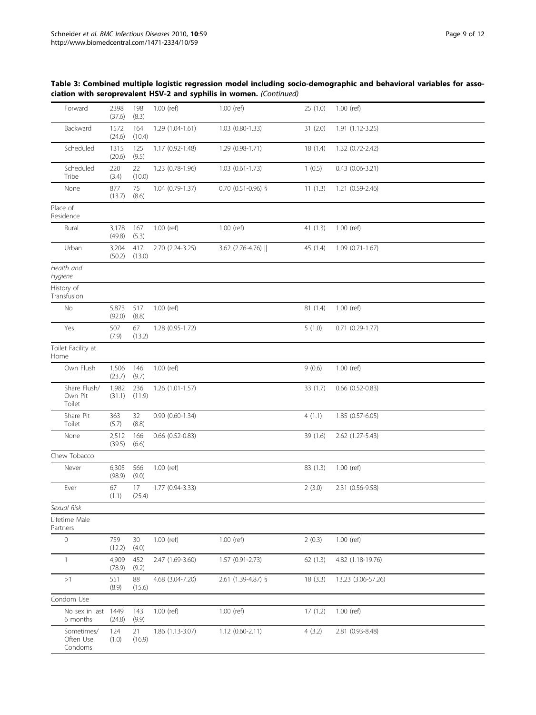| Forward                            | 2398<br>(37.6)  | 198<br>(8.3)  | $1.00$ (ref)      | $1.00$ (ref)           | 25(1.0)  | $1.00$ (ref)           |
|------------------------------------|-----------------|---------------|-------------------|------------------------|----------|------------------------|
| Backward                           | 1572<br>(24.6)  | 164<br>(10.4) | 1.29 (1.04-1.61)  | $1.03(0.80-1.33)$      | 31(2.0)  | $1.91(1.12-3.25)$      |
| Scheduled                          | 1315<br>(20.6)  | 125<br>(9.5)  | 1.17 (0.92-1.48)  | 1.29 (0.98-1.71)       | 18(1.4)  | 1.32 (0.72-2.42)       |
| Scheduled<br>Tribe                 | 220<br>(3.4)    | 22<br>(10.0)  | 1.23 (0.78-1.96)  | $1.03$ $(0.61 - 1.73)$ | 1(0.5)   | 0.43 (0.06-3.21)       |
| None                               | 877<br>(13.7)   | 75<br>(8.6)   | 1.04 (0.79-1.37)  | 0.70 (0.51-0.96) §     | 11(1.3)  | 1.21 (0.59-2.46)       |
| Place of<br>Residence              |                 |               |                   |                        |          |                        |
| Rural                              | 3,178<br>(49.8) | 167<br>(5.3)  | 1.00 (ref)        | $1.00$ (ref)           | 41(1.3)  | 1.00 (ref)             |
| Urban                              | 3,204<br>(50.2) | 417<br>(13.0) | 2.70 (2.24-3.25)  | 3.62 (2.76-4.76)       | 45 (1.4) | $1.09(0.71-1.67)$      |
| Health and<br>Hygiene              |                 |               |                   |                        |          |                        |
| History of<br>Transfusion          |                 |               |                   |                        |          |                        |
| No                                 | 5,873<br>(92.0) | 517<br>(8.8)  | 1.00 (ref)        |                        | 81 (1.4) | 1.00 (ref)             |
| Yes                                | 507<br>(7.9)    | 67<br>(13.2)  | 1.28 (0.95-1.72)  |                        | 5(1.0)   | $0.71$ $(0.29-1.77)$   |
| Toilet Facility at<br>Home         |                 |               |                   |                        |          |                        |
| Own Flush                          | 1,506<br>(23.7) | 146<br>(9.7)  | 1.00 (ref)        |                        | 9(0.6)   | $1.00$ (ref)           |
| Share Flush/<br>Own Pit<br>Toilet  | 1,982<br>(31.1) | 236<br>(11.9) | 1.26 (1.01-1.57)  |                        | 33(1.7)  | $0.66$ $(0.52 - 0.83)$ |
| Share Pit<br>Toilet                | 363<br>(5.7)    | 32<br>(8.8)   | $0.90(0.60-1.34)$ |                        | 4(1.1)   | 1.85 (0.57-6.05)       |
| None                               | 2,512<br>(39.5) | 166<br>(6.6)  | 0.66 (0.52-0.83)  |                        | 39 (1.6) | 2.62 (1.27-5.43)       |
| Chew Tobacco                       |                 |               |                   |                        |          |                        |
| Never                              | 6,305<br>(98.9) | 566<br>(9.0)  | 1.00 (ref)        |                        | 83(1.3)  | 1.00 (ref)             |
| Ever                               | 67<br>(1.1)     | 17<br>(25.4)  | 1.77 (0.94-3.33)  |                        | 2(3.0)   | 2.31 (0.56-9.58)       |
| Sexual Risk                        |                 |               |                   |                        |          |                        |
| Lifetime Male<br>Partners          |                 |               |                   |                        |          |                        |
| $\mathbf 0$                        | 759<br>(12.2)   | 30<br>(4.0)   | 1.00 (ref)        | $1.00$ (ref)           | 2(0.3)   | 1.00 (ref)             |
| $\mathbf{1}$                       | 4,909<br>(78.9) | 452<br>(9.2)  | 2.47 (1.69-3.60)  | 1.57 (0.91-2.73)       | 62(1.3)  | 4.82 (1.18-19.76)      |
| >1                                 | 551<br>(8.9)    | 88<br>(15.6)  | 4.68 (3.04-7.20)  | 2.61 (1.39-4.87) §     | 18(3.3)  | 13.23 (3.06-57.26)     |
| Condom Use                         |                 |               |                   |                        |          |                        |
| No sex in last<br>6 months         | 1449<br>(24.8)  | 143<br>(9.9)  | 1.00 (ref)        | 1.00 (ref)             | 17(1.2)  | $1.00$ (ref)           |
| Sometimes/<br>Often Use<br>Condoms | 124<br>(1.0)    | 21<br>(16.9)  | 1.86 (1.13-3.07)  | $1.12(0.60-2.11)$      | 4(3.2)   | 2.81 (0.93-8.48)       |

## Table 3: Combined multiple logistic regression model including socio-demographic and behavioral variables for association with seroprevalent HSV-2 and syphilis in women. (Continued)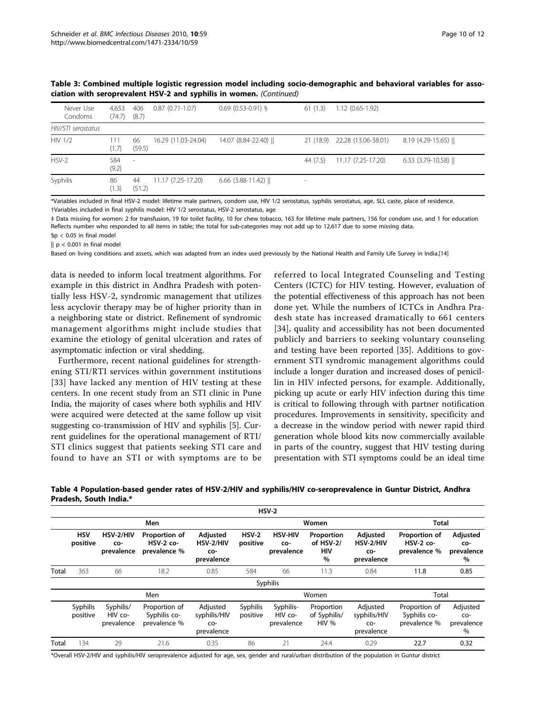| Never Use<br>Condoms | 4.653<br>(74.7) | 406<br>(8.7)             | $0.87(0.71-1.07)$   | $0.69$ (0.53-0.91) § | 61(1.3)                  | $1.12(0.65-1.92)$             |                                 |
|----------------------|-----------------|--------------------------|---------------------|----------------------|--------------------------|-------------------------------|---------------------------------|
| HIV/STI serostatus   |                 |                          |                     |                      |                          |                               |                                 |
| <b>HIV 1/2</b>       | 111<br>(1.7)    | 66<br>(59.5)             | 16.29 (11.03-24.04) | 14.07 (8.84-22.40)   |                          | 21 (18.9) 22.28 (13.06-38.01) | $8.19$ (4.29-15.65) $\parallel$ |
| $HSV-2$              | 584<br>(9.2)    | $\overline{\phantom{a}}$ |                     |                      | 44 (7.5)                 | 11.17 (7.25-17.20)            | 6.33 $(3.79-10.58)$             |
| Syphilis             | 86<br>(1.3)     | 44<br>(51.2)             | 11.17 (7.25-17.20)  | $6.66$ (3.88-11.42)  | $\overline{\phantom{a}}$ |                               |                                 |

<span id="page-9-0"></span>Table 3: Combined multiple logistic regression model including socio-demographic and behavioral variables for association with seroprevalent HSV-2 and syphilis in women. (Continued)

\*Variables included in final HSV-2 model: lifetime male partners, condom use, HIV 1/2 serostatus, syphilis serostatus, age, SLI, caste, place of residence. †Variables included in final syphilis model: HIV 1/2 serostatus, HSV-2 serostatus, age

‡ Data missing for women: 2 for transfusion, 19 for toilet facility, 10 for chew tobacco, 163 for lifetime male partners, 156 for condom use, and 1 for education Reflects number who responded to all items in table; the total for sub-categories may not add up to 12,617 due to some missing data.

§p < 0.05 in final model

 $|| p < 0.001$  in final model

Based on living conditions and assets, which was adapted from an index used previously by the National Health and Family Life Survey in India.[[14\]](#page-11-0)

data is needed to inform local treatment algorithms. For example in this district in Andhra Pradesh with potentially less HSV-2, syndromic management that utilizes less acyclovir therapy may be of higher priority than in a neighboring state or district. Refinement of syndromic management algorithms might include studies that examine the etiology of genital ulceration and rates of asymptomatic infection or viral shedding.

Furthermore, recent national guidelines for strengthening STI/RTI services within government institutions [[33](#page-11-0)] have lacked any mention of HIV testing at these centers. In one recent study from an STI clinic in Pune India, the majority of cases where both syphilis and HIV were acquired were detected at the same follow up visit suggesting co-transmission of HIV and syphilis [[5\]](#page-10-0). Current guidelines for the operational management of RTI/ STI clinics suggest that patients seeking STI care and found to have an STI or with symptoms are to be referred to local Integrated Counseling and Testing Centers (ICTC) for HIV testing. However, evaluation of the potential effectiveness of this approach has not been done yet. While the numbers of ICTCs in Andhra Pradesh state has increased dramatically to 661 centers [[34\]](#page-11-0), quality and accessibility has not been documented publicly and barriers to seeking voluntary counseling and testing have been reported [[35](#page-11-0)]. Additions to government STI syndromic management algorithms could include a longer duration and increased doses of penicillin in HIV infected persons, for example. Additionally, picking up acute or early HIV infection during this time is critical to following through with partner notification procedures. Improvements in sensitivity, specificity and a decrease in the window period with newer rapid third generation whole blood kits now commercially available in parts of the country, suggest that HIV testing during presentation with STI symptoms could be an ideal time

Table 4 Population-based gender rates of HSV-2/HIV and syphilis/HIV co-seroprevalence in Guntur District, Andhra Pradesh, South India.\*

|       |                        |                                    |                                               |                                               |                      | $HSV-2$                             |                                        |                                               |                                               |                                       |  |
|-------|------------------------|------------------------------------|-----------------------------------------------|-----------------------------------------------|----------------------|-------------------------------------|----------------------------------------|-----------------------------------------------|-----------------------------------------------|---------------------------------------|--|
|       |                        |                                    | Men                                           |                                               |                      | Women                               |                                        | <b>Total</b>                                  |                                               |                                       |  |
|       | <b>HSV</b><br>positive | HSV-2/HIV<br>CO-<br>prevalence     | Proportion of<br>$HSV-2$ co-<br>prevalence %  | Adjusted<br>HSV-2/HIV<br>CO-<br>prevalence    | $HSV-2$<br>positive  | <b>HSV-HIV</b><br>CO-<br>prevalence | Proportion<br>of HSV-2/<br>HIV<br>$\%$ | Adjusted<br>HSV-2/HIV<br>CO-<br>prevalence    | Proportion of<br>$HSV-2$ co-<br>prevalence %  | Adjusted<br>CO-<br>prevalence<br>%    |  |
| Total | 363                    | 66                                 | 18.2                                          | 0.85                                          | 584                  | 66                                  | 11.3                                   | 0.84                                          | 11.8                                          | 0.85                                  |  |
|       |                        |                                    |                                               |                                               |                      | Syphilis                            |                                        |                                               |                                               |                                       |  |
|       | Men                    |                                    |                                               |                                               |                      | Women                               |                                        |                                               |                                               | Total                                 |  |
|       | Syphilis<br>positive   | Syphilis/<br>HIV co-<br>prevalence | Proportion of<br>Syphilis co-<br>prevalence % | Adjusted<br>syphilis/HIV<br>CO-<br>prevalence | Syphilis<br>positive | Syphilis-<br>HIV co-<br>prevalence  | Proportion<br>of Syphilis/<br>HIV%     | Adjusted<br>syphilis/HIV<br>CO-<br>prevalence | Proportion of<br>Syphilis co-<br>prevalence % | Adjusted<br>CO-<br>prevalence<br>$\%$ |  |
| Total | 134                    | 29                                 | 21.6                                          | 0.35                                          | 86                   | 21                                  | 24.4                                   | 0.29                                          | 22.7                                          | 0.32                                  |  |

\*Overall HSV-2/HIV and syphilis/HIV seroprevalence adjusted for age, sex, gender and rural/urban distribution of the population in Guntur district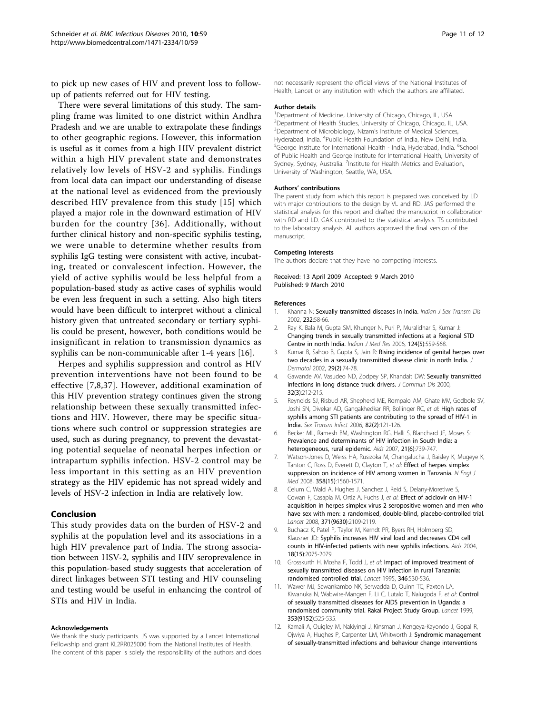<span id="page-10-0"></span>to pick up new cases of HIV and prevent loss to followup of patients referred out for HIV testing.

There were several limitations of this study. The sampling frame was limited to one district within Andhra Pradesh and we are unable to extrapolate these findings to other geographic regions. However, this information is useful as it comes from a high HIV prevalent district within a high HIV prevalent state and demonstrates relatively low levels of HSV-2 and syphilis. Findings from local data can impact our understanding of disease at the national level as evidenced from the previously described HIV prevalence from this study [[15](#page-11-0)] which played a major role in the downward estimation of HIV burden for the country [[36\]](#page-11-0). Additionally, without further clinical history and non-specific syphilis testing, we were unable to determine whether results from syphilis IgG testing were consistent with active, incubating, treated or convalescent infection. However, the yield of active syphilis would be less helpful from a population-based study as active cases of syphilis would be even less frequent in such a setting. Also high titers would have been difficult to interpret without a clinical history given that untreated secondary or tertiary syphilis could be present, however, both conditions would be insignificant in relation to transmission dynamics as syphilis can be non-communicable after 1-4 years [[16](#page-11-0)].

Herpes and syphilis suppression and control as HIV prevention interventions have not been found to be effective [7,8,[37](#page-11-0)]. However, additional examination of this HIV prevention strategy continues given the strong relationship between these sexually transmitted infections and HIV. However, there may be specific situations where such control or suppression strategies are used, such as during pregnancy, to prevent the devastating potential sequelae of neonatal herpes infection or intrapartum syphilis infection. HSV-2 control may be less important in this setting as an HIV prevention strategy as the HIV epidemic has not spread widely and levels of HSV-2 infection in India are relatively low.

#### Conclusion

This study provides data on the burden of HSV-2 and syphilis at the population level and its associations in a high HIV prevalence part of India. The strong association between HSV-2, syphilis and HIV seroprevalence in this population-based study suggests that acceleration of direct linkages between STI testing and HIV counseling and testing would be useful in enhancing the control of STIs and HIV in India.

#### Acknowledgements

We thank the study participants. JS was supported by a Lancet International Fellowship and grant KL2RR025000 from the National Institutes of Health. The content of this paper is solely the responsibility of the authors and does

not necessarily represent the official views of the National Institutes of Health, Lancet or any institution with which the authors are affiliated.

#### Author details

<sup>1</sup>Department of Medicine, University of Chicago, Chicago, IL, USA. <sup>2</sup>Department of Health Studies, University of Chicago, Chicago, IL, USA <sup>3</sup>Department of Microbiology, Nizam's Institute of Medical Sciences, Hyderabad, India. <sup>4</sup>Public Health Foundation of India, New Delhi, India. <sup>6</sup>Sclaves India. <sup>6</sup>Sclaves India. <sup>6</sup>Sclaves India. <sup>6</sup>Sclaves India. <sup>6</sup>Sclaves India. <sup>6</sup>Sclaves India. <sup>6</sup>Sclaves India. <sup>6</sup>Sclaves India. <sup>6</sup>S .<br>George Institute for International Health - India, Hyderabad, India. <sup>6</sup>School of Public Health and George Institute for International Health, University of Sydney, Sydney, Australia. <sup>7</sup>Institute for Health Metrics and Evaluation, University of Washington, Seattle, WA, USA.

#### Authors' contributions

The parent study from which this report is prepared was conceived by LD with major contributions to the design by VL and RD. JAS performed the statistical analysis for this report and drafted the manuscript in collaboration with RD and LD. GAK contributed to the statistical analysis. TS contributed to the laboratory analysis. All authors approved the final version of the manuscript.

#### Competing interests

The authors declare that they have no competing interests.

Received: 13 April 2009 Accepted: 9 March 2010 Published: 9 March 2010

#### References

- Khanna N: Sexually transmitted diseases in India. Indian J Sex Transm Dis 2002, 232:58-66.
- 2. Ray K, Bala M, Gupta SM, Khunger N, Puri P, Muralidhar S, Kumar J: [Changing trends in sexually transmitted infections at a Regional STD](http://www.ncbi.nlm.nih.gov/pubmed/17213525?dopt=Abstract) [Centre in north India.](http://www.ncbi.nlm.nih.gov/pubmed/17213525?dopt=Abstract) Indian J Med Res 2006, 124(5):559-568.
- 3. Kumar B, Sahoo B, Gupta S, Jain R: [Rising incidence of genital herpes over](http://www.ncbi.nlm.nih.gov/pubmed/11890299?dopt=Abstract) [two decades in a sexually transmitted disease clinic in north India.](http://www.ncbi.nlm.nih.gov/pubmed/11890299?dopt=Abstract) Dermatol 2002, 29(2):74-78.
- Gawande AV, Vasudeo ND, Zodpey SP, Khandait DW: [Sexually transmitted](http://www.ncbi.nlm.nih.gov/pubmed/11407008?dopt=Abstract) [infections in long distance truck drivers.](http://www.ncbi.nlm.nih.gov/pubmed/11407008?dopt=Abstract) J Commun Dis 2000, 32(3):212-215.
- 5. Reynolds SJ, Risbud AR, Shepherd ME, Rompalo AM, Ghate MV, Godbole SV, Joshi SN, Divekar AD, Gangakhedkar RR, Bollinger RC, et al: [High rates of](http://www.ncbi.nlm.nih.gov/pubmed/16581736?dopt=Abstract) [syphilis among STI patients are contributing to the spread of HIV-1 in](http://www.ncbi.nlm.nih.gov/pubmed/16581736?dopt=Abstract) [India.](http://www.ncbi.nlm.nih.gov/pubmed/16581736?dopt=Abstract) Sex Transm Infect 2006, 82(2):121-126.
- 6. Becker ML, Ramesh BM, Washington RG, Halli S, Blanchard JF, Moses S: [Prevalence and determinants of HIV infection in South India: a](http://www.ncbi.nlm.nih.gov/pubmed/17413695?dopt=Abstract) [heterogeneous, rural epidemic.](http://www.ncbi.nlm.nih.gov/pubmed/17413695?dopt=Abstract) Aids 2007, 21(6):739-747.
- 7. Watson-Jones D, Weiss HA, Rusizoka M, Changalucha J, Baisley K, Mugeye K, Tanton C, Ross D, Everett D, Clayton T, et al: [Effect of herpes simplex](http://www.ncbi.nlm.nih.gov/pubmed/18337596?dopt=Abstract) [suppression on incidence of HIV among women in Tanzania.](http://www.ncbi.nlm.nih.gov/pubmed/18337596?dopt=Abstract) N Engl J Med 2008, 358(15):1560-1571.
- 8. Celum C, Wald A, Hughes J, Sanchez J, Reid S, Delany-Moretlwe S, Cowan F, Casapia M, Ortiz A, Fuchs J, et al: [Effect of aciclovir on HIV-1](http://www.ncbi.nlm.nih.gov/pubmed/18572080?dopt=Abstract) [acquisition in herpes simplex virus 2 seropositive women and men who](http://www.ncbi.nlm.nih.gov/pubmed/18572080?dopt=Abstract) [have sex with men: a randomised, double-blind, placebo-controlled trial.](http://www.ncbi.nlm.nih.gov/pubmed/18572080?dopt=Abstract) Lancet 2008, 371(9630):2109-2119.
- 9. Buchacz K, Patel P, Taylor M, Kerndt PR, Byers RH, Holmberg SD, Klausner JD: [Syphilis increases HIV viral load and decreases CD4 cell](http://www.ncbi.nlm.nih.gov/pubmed/15577629?dopt=Abstract) [counts in HIV-infected patients with new syphilis infections.](http://www.ncbi.nlm.nih.gov/pubmed/15577629?dopt=Abstract) Aids 2004, 18(15):2075-2079.
- 10. Grosskurth H, Mosha F, Todd J, et al: [Impact of improved treatment of](http://www.ncbi.nlm.nih.gov/pubmed/7658778?dopt=Abstract) [sexually transmitted diseases on HIV infection in rural Tanzania:](http://www.ncbi.nlm.nih.gov/pubmed/7658778?dopt=Abstract) [randomised controlled trial.](http://www.ncbi.nlm.nih.gov/pubmed/7658778?dopt=Abstract) Lancet 1995, 346:530-536.
- 11. Wawer MJ, Sewankambo NK, Serwadda D, Quinn TC, Paxton LA, Kiwanuka N, Wabwire-Mangen F, Li C, Lutalo T, Nalugoda F, et al: [Control](http://www.ncbi.nlm.nih.gov/pubmed/10028980?dopt=Abstract) [of sexually transmitted diseases for AIDS prevention in Uganda: a](http://www.ncbi.nlm.nih.gov/pubmed/10028980?dopt=Abstract) [randomised community trial. Rakai Project Study Group.](http://www.ncbi.nlm.nih.gov/pubmed/10028980?dopt=Abstract) Lancet 1999, 353(9152):525-535.
- 12. Kamali A, Quigley M, Nakiyingi J, Kinsman J, Kengeya-Kayondo J, Gopal R, Ojwiya A, Hughes P, Carpenter LM, Whitworth J: [Syndromic management](http://www.ncbi.nlm.nih.gov/pubmed/12606175?dopt=Abstract) [of sexually-transmitted infections and behaviour change interventions](http://www.ncbi.nlm.nih.gov/pubmed/12606175?dopt=Abstract)